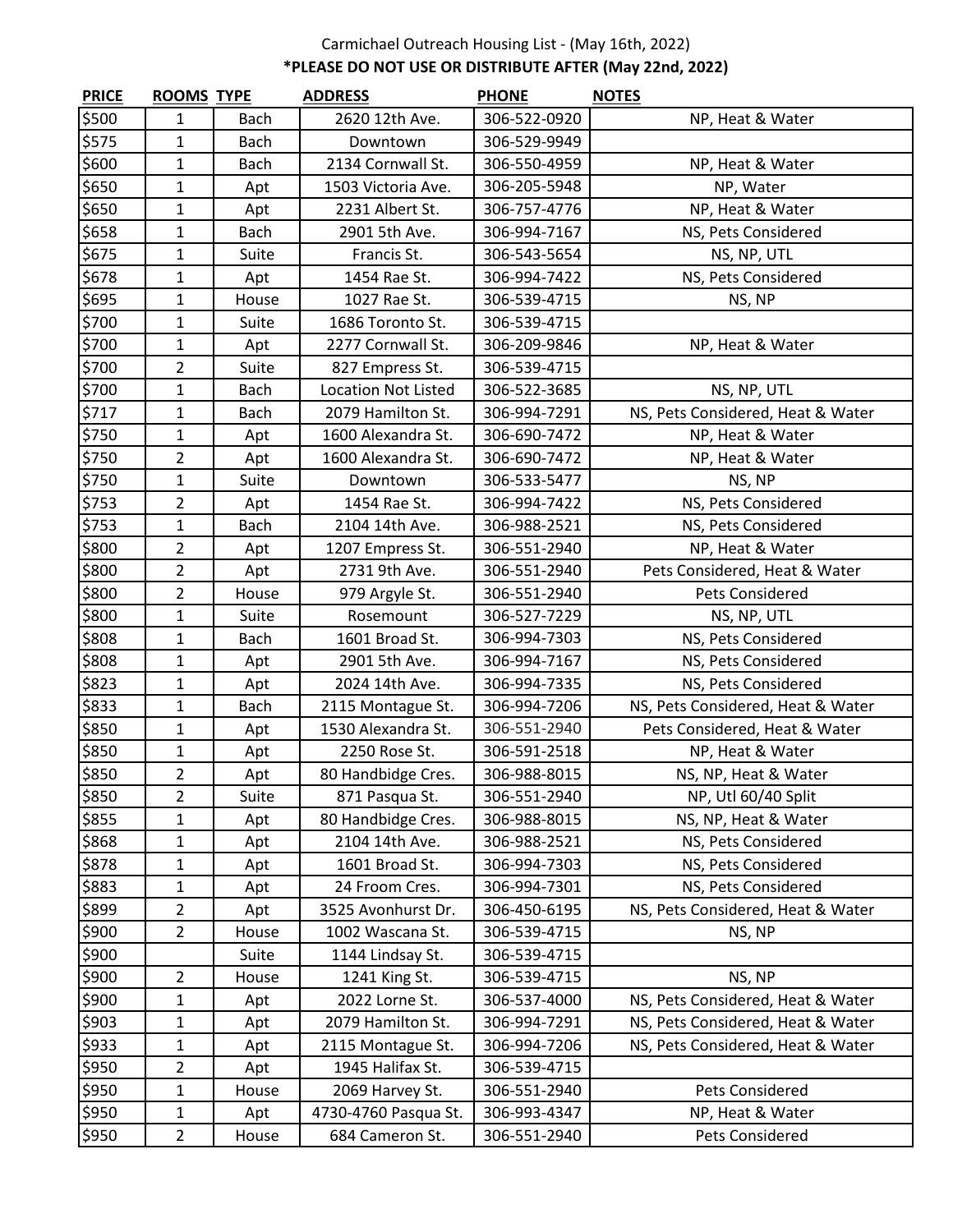## Carmichael Outreach Housing List - (May 16th, 2022) **\*PLEASE DO NOT USE OR DISTRIBUTE AFTER (May 22nd, 2022)**

| <b>PRICE</b> | <b>ROOMS TYPE</b> |             | <b>ADDRESS</b>             | <b>PHONE</b> | <b>NOTES</b>                      |
|--------------|-------------------|-------------|----------------------------|--------------|-----------------------------------|
| \$500        | 1                 | <b>Bach</b> | 2620 12th Ave.             | 306-522-0920 | NP, Heat & Water                  |
| \$575        | $\mathbf{1}$      | <b>Bach</b> | Downtown                   | 306-529-9949 |                                   |
| \$600        | $\mathbf{1}$      | <b>Bach</b> | 2134 Cornwall St.          | 306-550-4959 | NP, Heat & Water                  |
| \$650        | $\mathbf{1}$      | Apt         | 1503 Victoria Ave.         | 306-205-5948 | NP, Water                         |
| \$650        | $\mathbf{1}$      | Apt         | 2231 Albert St.            | 306-757-4776 | NP, Heat & Water                  |
| \$658        | $\mathbf{1}$      | Bach        | 2901 5th Ave.              | 306-994-7167 | NS, Pets Considered               |
| \$675        | $\mathbf{1}$      | Suite       | Francis St.                | 306-543-5654 | NS, NP, UTL                       |
| \$678        | $\mathbf{1}$      | Apt         | 1454 Rae St.               | 306-994-7422 | NS, Pets Considered               |
| \$695        | $\mathbf{1}$      | House       | 1027 Rae St.               | 306-539-4715 | NS, NP                            |
| \$700        | $\mathbf{1}$      | Suite       | 1686 Toronto St.           | 306-539-4715 |                                   |
| \$700        | $\mathbf{1}$      | Apt         | 2277 Cornwall St.          | 306-209-9846 | NP, Heat & Water                  |
| \$700        | $\overline{2}$    | Suite       | 827 Empress St.            | 306-539-4715 |                                   |
| \$700        | $\mathbf{1}$      | Bach        | <b>Location Not Listed</b> | 306-522-3685 | NS, NP, UTL                       |
| \$717        | $\mathbf{1}$      | Bach        | 2079 Hamilton St.          | 306-994-7291 | NS, Pets Considered, Heat & Water |
| \$750        | $\mathbf{1}$      | Apt         | 1600 Alexandra St.         | 306-690-7472 | NP, Heat & Water                  |
| \$750        | $\overline{2}$    | Apt         | 1600 Alexandra St.         | 306-690-7472 | NP, Heat & Water                  |
| \$750        | $\mathbf{1}$      | Suite       | Downtown                   | 306-533-5477 | NS, NP                            |
| \$753        | $\overline{2}$    | Apt         | 1454 Rae St.               | 306-994-7422 | NS, Pets Considered               |
| \$753        | $\mathbf{1}$      | <b>Bach</b> | 2104 14th Ave.             | 306-988-2521 | NS, Pets Considered               |
| \$800        | $\overline{2}$    | Apt         | 1207 Empress St.           | 306-551-2940 | NP, Heat & Water                  |
| \$800        | $\overline{2}$    | Apt         | 2731 9th Ave.              | 306-551-2940 | Pets Considered, Heat & Water     |
| \$800        | $\overline{2}$    | House       | 979 Argyle St.             | 306-551-2940 | Pets Considered                   |
| \$800        | $\mathbf{1}$      | Suite       | Rosemount                  | 306-527-7229 | NS, NP, UTL                       |
| \$808        | $\mathbf{1}$      | <b>Bach</b> | 1601 Broad St.             | 306-994-7303 | NS, Pets Considered               |
| \$808        | $\mathbf{1}$      | Apt         | 2901 5th Ave.              | 306-994-7167 | NS, Pets Considered               |
| \$823        | $\mathbf{1}$      | Apt         | 2024 14th Ave.             | 306-994-7335 | NS, Pets Considered               |
| \$833        | $\mathbf{1}$      | <b>Bach</b> | 2115 Montague St.          | 306-994-7206 | NS, Pets Considered, Heat & Water |
| \$850        | $\mathbf{1}$      | Apt         | 1530 Alexandra St.         | 306-551-2940 | Pets Considered, Heat & Water     |
| \$850        | 1                 | Apt         | 2250 Rose St.              | 306-591-2518 | NP, Heat & Water                  |
| \$850        | $\overline{2}$    | Apt         | 80 Handbidge Cres.         | 306-988-8015 | NS, NP, Heat & Water              |
| \$850        | 2                 | Suite       | 871 Pasqua St.             | 306-551-2940 | NP, Utl 60/40 Split               |
| \$855        | $\mathbf{1}$      | Apt         | 80 Handbidge Cres.         | 306-988-8015 | NS, NP, Heat & Water              |
| \$868        | $\mathbf{1}$      | Apt         | 2104 14th Ave.             | 306-988-2521 | NS, Pets Considered               |
| \$878        | $\mathbf 1$       | Apt         | 1601 Broad St.             | 306-994-7303 | NS, Pets Considered               |
| \$883        | 1                 | Apt         | 24 Froom Cres.             | 306-994-7301 | NS, Pets Considered               |
| \$899        | $\overline{2}$    | Apt         | 3525 Avonhurst Dr.         | 306-450-6195 | NS, Pets Considered, Heat & Water |
| \$900        | $\overline{2}$    | House       | 1002 Wascana St.           | 306-539-4715 | NS, NP                            |
| \$900        |                   | Suite       | 1144 Lindsay St.           | 306-539-4715 |                                   |
| \$900        | $\overline{2}$    | House       | 1241 King St.              | 306-539-4715 | NS, NP                            |
| \$900        | $\mathbf{1}$      | Apt         | 2022 Lorne St.             | 306-537-4000 | NS, Pets Considered, Heat & Water |
| \$903        | $\mathbf{1}$      | Apt         | 2079 Hamilton St.          | 306-994-7291 | NS, Pets Considered, Heat & Water |
| \$933        | 1                 | Apt         | 2115 Montague St.          | 306-994-7206 | NS, Pets Considered, Heat & Water |
| \$950        | $\overline{2}$    | Apt         | 1945 Halifax St.           | 306-539-4715 |                                   |
| \$950        | $\mathbf{1}$      | House       | 2069 Harvey St.            | 306-551-2940 | Pets Considered                   |
| \$950        | $\mathbf{1}$      | Apt         | 4730-4760 Pasqua St.       | 306-993-4347 | NP, Heat & Water                  |
| \$950        | $\overline{2}$    | House       | 684 Cameron St.            | 306-551-2940 | Pets Considered                   |